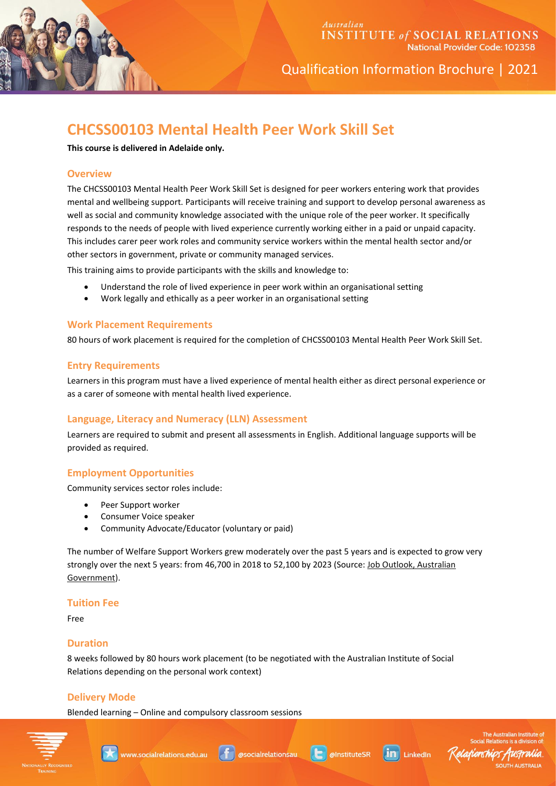

Qualification Information Brochure | 2021

# **CHCSS00103 Mental Health Peer Work Skill Set**

**This course is delivered in Adelaide only.**

## **Overview**

The CHCSS00103 Mental Health Peer Work Skill Set is designed for peer workers entering work that provides mental and wellbeing support. Participants will receive training and support to develop personal awareness as well as social and community knowledge associated with the unique role of the peer worker. It specifically responds to the needs of people with lived experience currently working either in a paid or unpaid capacity. This includes carer peer work roles and community service workers within the mental health sector and/or other sectors in government, private or community managed services.

This training aims to provide participants with the skills and knowledge to:

- Understand the role of lived experience in peer work within an organisational setting
- Work legally and ethically as a peer worker in an organisational setting

#### **Work Placement Requirements**

80 hours of work placement is required for the completion of CHCSS00103 Mental Health Peer Work Skill Set.

#### **Entry Requirements**

Learners in this program must have a lived experience of mental health either as direct personal experience or as a carer of someone with mental health lived experience.

#### **Language, Literacy and Numeracy (LLN) Assessment**

Learners are required to submit and present all assessments in English. Additional language supports will be provided as required.

## **Employment Opportunities**

Community services sector roles include:

- Peer Support worker
- Consumer Voice speaker
- Community Advocate/Educator (voluntary or paid)

The number of Welfare Support Workers grew moderately over the past 5 years and is expected to grow very strongly over the next 5 years: from 46,700 in 2018 to 52,100 by 2023 (Source: Job Outlook, Australian [Government\)](https://joboutlook.gov.au/occupation.aspx?code=4117&search=&Tab=prospects).

#### **Tuition Fee**

Free

#### **Duration**

8 weeks followed by 80 hours work placement (to be negotiated with the Australian Institute of Social Relations depending on the personal work context)

## **Delivery Mode**

Blended learning – Online and compulsory classroom sessions